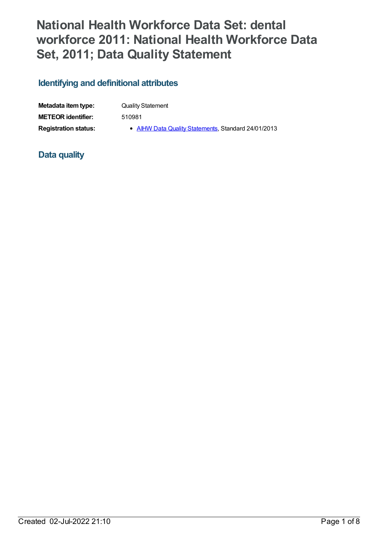# **National Health Workforce Data Set: dental workforce 2011: National Health Workforce Data Set, 2011; Data Quality Statement**

### **Identifying and definitional attributes**

| Metadata item type:         | <b>Quality Statement</b>                            |
|-----------------------------|-----------------------------------------------------|
| <b>METEOR</b> identifier:   | 510981                                              |
| <b>Registration status:</b> | • AIHW Data Quality Statements, Standard 24/01/2013 |

#### **Data quality**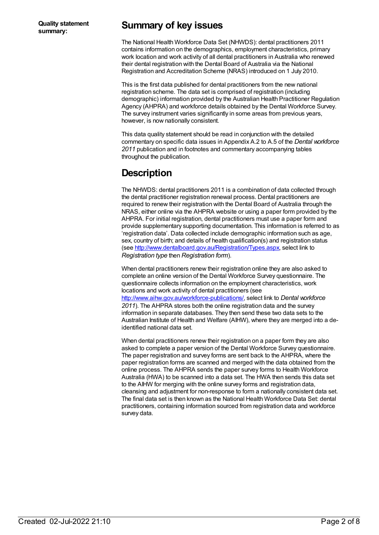### **Summary of key issues**

The National Health Workforce Data Set (NHWDS): dental practitioners 2011 contains information on the demographics, employment characteristics, primary work location and work activity of all dental practitioners in Australia who renewed their dental registration with the Dental Board of Australia via the National Registration and Accreditation Scheme (NRAS) introduced on 1 July 2010.

This is the first data published for dental practitioners from the new national registration scheme. The data set is comprised of registration (including demographic) information provided by the Australian Health Practitioner Regulation Agency (AHPRA) and workforce details obtained by the Dental Workforce Survey. The survey instrument varies significantly in some areas from previous years, however, is now nationally consistent.

This data quality statement should be read in conjunction with the detailed commentary on specific data issues in Appendix A.2 to A.5 of the *Dental workforce 2011* publication and in footnotes and commentary accompanying tables throughout the publication.

## **Description**

The NHWDS: dental practitioners 2011 is a combination of data collected through the dental practitioner registration renewal process. Dental practitioners are required to renew their registration with the Dental Board of Australia through the NRAS, either online via the AHPRA website or using a paper form provided by the AHPRA. For initial registration, dental practitioners must use a paper form and provide supplementary supporting documentation. This information is referred to as 'registration data'. Data collected include demographic information such as age, sex, country of birth; and details of health qualification(s) and registration status (see <http://www.dentalboard.gov.au/Registration/Types.aspx>, select link to *Registration type* then *Registration form*).

When dental practitioners renew their registration online they are also asked to complete an online version of the Dental Workforce Survey questionnaire. The questionnaire collects information on the employment characteristics, work locations and work activity of dental practitioners (see <http://www.aihw.gov.au/workforce-publications/>, select link to *Dental workforce 2011*). The AHPRA stores both the online registration data and the survey information in separate databases. They then send these two data sets to the Australian Institute of Health and Welfare (AIHW), where they are merged into a deidentified national data set.

When dental practitioners renew their registration on a paper form they are also asked to complete a paper version of the Dental Workforce Survey questionnaire. The paper registration and survey forms are sent back to the AHPRA, where the paper registration forms are scanned and merged with the data obtained from the online process. The AHPRA sends the paper survey forms to Health Workforce Australia (HWA) to be scanned into a data set. The HWA then sends this data set to the AIHW for merging with the online survey forms and registration data, cleansing and adjustment for non-response to form a nationally consistent data set. The final data set is then known as the National Health Workforce Data Set: dental practitioners, containing information sourced from registration data and workforce survey data.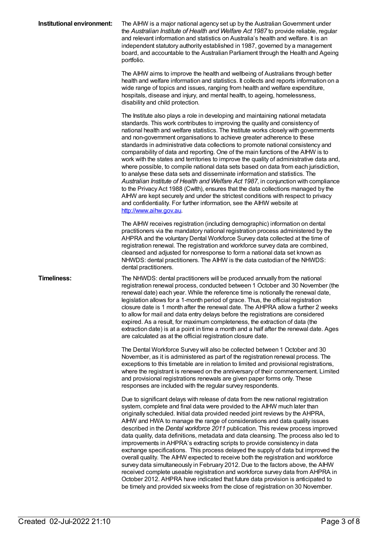| Institutional environment: | The AIHW is a major national agency set up by the Australian Government under<br>the Australian Institute of Health and Welfare Act 1987 to provide reliable, regular<br>and relevant information and statistics on Australia's health and welfare. It is an<br>independent statutory authority established in 1987, governed by a management<br>board, and accountable to the Australian Parliament through the Health and Ageing<br>portfolio.                                                                                                                                                                                                                                                                                                                                                                                                                                                                                                                                                                                                                                                                                               |
|----------------------------|------------------------------------------------------------------------------------------------------------------------------------------------------------------------------------------------------------------------------------------------------------------------------------------------------------------------------------------------------------------------------------------------------------------------------------------------------------------------------------------------------------------------------------------------------------------------------------------------------------------------------------------------------------------------------------------------------------------------------------------------------------------------------------------------------------------------------------------------------------------------------------------------------------------------------------------------------------------------------------------------------------------------------------------------------------------------------------------------------------------------------------------------|
|                            | The AIHW aims to improve the health and wellbeing of Australians through better<br>health and welfare information and statistics. It collects and reports information on a<br>wide range of topics and issues, ranging from health and welfare expenditure,<br>hospitals, disease and injury, and mental health, to ageing, homelessness,<br>disability and child protection.                                                                                                                                                                                                                                                                                                                                                                                                                                                                                                                                                                                                                                                                                                                                                                  |
|                            | The Institute also plays a role in developing and maintaining national metadata<br>standards. This work contributes to improving the quality and consistency of<br>national health and welfare statistics. The Institute works closely with governments<br>and non-government organisations to achieve greater adherence to these<br>standards in administrative data collections to promote national consistency and<br>comparability of data and reporting. One of the main functions of the AIHW is to<br>work with the states and territories to improve the quality of administrative data and,<br>where possible, to compile national data sets based on data from each jurisdiction,<br>to analyse these data sets and disseminate information and statistics. The<br>Australian Institute of Health and Welfare Act 1987, in conjunction with compliance<br>to the Privacy Act 1988 (Cwlth), ensures that the data collections managed by the<br>AIHW are kept securely and under the strictest conditions with respect to privacy<br>and confidentiality. For further information, see the AIHW website at<br>http://www.aihw.gov.au. |
|                            | The AIHW receives registration (including demographic) information on dental<br>practitioners via the mandatory national registration process administered by the<br>AHPRA and the voluntary Dental Workforce Survey data collected at the time of<br>registration renewal. The registration and workforce survey data are combined,<br>cleansed and adjusted for nonresponse to form a national data set known as<br>NHWDS: dental practitioners. The AIHW is the data custodian of the NHWDS:<br>dental practitioners.                                                                                                                                                                                                                                                                                                                                                                                                                                                                                                                                                                                                                       |
| <b>Timeliness:</b>         | The NHWDS: dental practitioners will be produced annually from the national<br>registration renewal process, conducted between 1 October and 30 November (the<br>renewal date) each year. While the reference time is notionally the renewal date,<br>legislation allows for a 1-month period of grace. Thus, the official registration<br>closure date is 1 month after the renewal date. The AHPRA allow a further 2 weeks<br>to allow for mail and data entry delays before the registrations are considered<br>expired. As a result, for maximum completeness, the extraction of data (the<br>extraction date) is at a point in time a month and a half after the renewal date. Ages<br>are calculated as at the official registration closure date.                                                                                                                                                                                                                                                                                                                                                                                       |
|                            | The Dental Workforce Survey will also be collected between 1 October and 30<br>November, as it is administered as part of the registration renewal process. The<br>exceptions to this timetable are in relation to limited and provisional registrations,<br>where the registrant is renewed on the anniversary of their commencement. Limited<br>and provisional registrations renewals are given paper forms only. These<br>responses are included with the regular survey respondents.                                                                                                                                                                                                                                                                                                                                                                                                                                                                                                                                                                                                                                                      |
|                            | Due to significant delays with release of data from the new national registration<br>system, complete and final data were provided to the AIHW much later than<br>originally scheduled. Initial data provided needed joint reviews by the AHPRA,<br>AIHW and HWA to manage the range of considerations and data quality issues<br>described in the Dental workforce 2011 publication. This review process improved<br>data quality, data definitions, metadata and data cleansing. The process also led to<br>improvements in AHPRA's extracting scripts to provide consistency in data<br>exchange specifications. This process delayed the supply of data but improved the<br>overall quality. The AIHW expected to receive both the registration and workforce<br>survey data simultaneously in February 2012. Due to the factors above, the AIHW<br>received complete useable registration and workforce survey data from AHPRA in<br>October 2012. AHPRA have indicated that future data provision is anticipated to<br>be timely and provided six weeks from the close of registration on 30 November.                                   |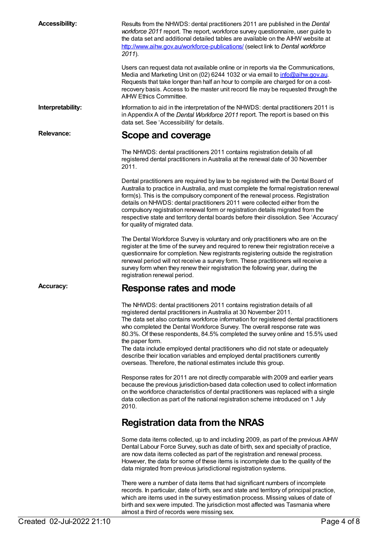**Accessibility:** Results from the NHWDS: dental practitioners 2011 are published in the *Dental workforce 2011* report. The report, workforce survey questionnaire, user guide to the data set and additional detailed tables are available on the AIHW website at <http://www.aihw.gov.au/workforce-publications/> (select link to *Dental workforce 2011*). Users can request data not available online or in reports via the Communications, Media and Marketing Unit on (02) 6244 1032 or via email to [info@aihw.gov.au](mailto:info@aihw.gov.au). Requests that take longer than half an hour to compile are charged for on a costrecovery basis. Access to the master unit record file may be requested through the AIHW Ethics Committee. **Interpretability:** Information to aid in the interpretation of the NHWDS: dental practitioners 2011 is in Appendix A of the *Dental Workforce 2011* report. The report is based on this data set. See 'Accessibility' for details. **Relevance: Scope and coverage** The NHWDS: dental practitioners 2011 contains registration details of all registered dental practitioners in Australia at the renewal date of 30 November 2011. Dental practitioners are required by law to be registered with the Dental Board of Australia to practice in Australia, and must complete the formal registration renewal form(s). This is the compulsory component of the renewal process. Registration details on NHWDS: dental practitioners 2011 were collected either from the compulsory registration renewal form or registration details migrated from the respective state and territory dental boards before their dissolution. See 'Accuracy' for quality of migrated data. The Dental Workforce Survey is voluntary and only practitioners who are on the register at the time of the survey and required to renew their registration receive a questionnaire for completion. New registrants registering outside the registration renewal period will not receive a survey form. These practitioners will receive a survey form when they renew their registration the following year, during the registration renewal period. **Accuracy: Response rates and mode** The NHWDS: dental practitioners 2011 contains registration details of all registered dental practitioners in Australia at 30 November 2011. The data set also contains workforce information for registered dental practitioners who completed the Dental Workforce Survey. The overall response rate was 80.3%. Of these respondents, 84.5% completed the survey online and 15.5% used the paper form. The data include employed dental practitioners who did not state or adequately describe their location variables and employed dental practitioners currently overseas. Therefore, the national estimates include this group. Response rates for 2011 are not directly comparable with 2009 and earlier years because the previous jurisdiction-based data collection used to collect information on the workforce characteristics of dental practitioners was replaced with a single data collection as part of the national registration scheme introduced on 1 July 2010. **Registration data from the NRAS** Some data items collected, up to and including 2009, as part of the previous AIHW Dental Labour Force Survey, such as date of birth, sex and specialty of practice, are now data items collected as part of the registration and renewal process. However, the data for some of these items is incomplete due to the quality of the data migrated from previous jurisdictional registration systems. There were a number of data items that had significant numbers of incomplete records. In particular, date of birth, sex and state and territory of principal practice, which are items used in the survey estimation process. Missing values of date of birth and sex were imputed. The jurisdiction most affected was Tasmania where

almost a third of records were missing sex.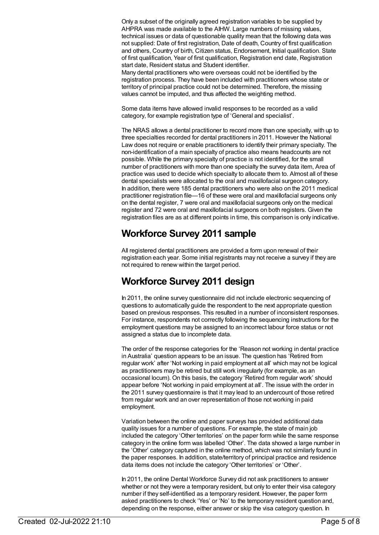Only a subset of the originally agreed registration variables to be supplied by AHPRA was made available to the AIHW. Large numbers of missing values, technical issues or data of questionable quality mean that the following data was not supplied: Date of first registration, Date of death, Country of first qualification and others, Country of birth, Citizen status, Endorsement, Initial qualification. State of first qualification, Year of first qualification, Registration end date, Registration start date, Resident status and Student identifier.

Many dental practitioners who were overseas could not be identified by the registration process. They have been included with practitioners whose state or territory of principal practice could not be determined. Therefore, the missing values cannot be imputed, and thus affected the weighting method.

Some data items have allowed invalid responses to be recorded as a valid category, for example registration type of 'General and specialist'.

The NRAS allows a dental practitioner to record more than one specialty, with up to three specialties recorded for dental practitioners in 2011. However the National Law does not require or enable practitioners to identify their primary specialty. The non-identification of a main specialty of practice also means headcounts are not possible. While the primary specialty of practice is not identified, for the small number of practitioners with more than one specialty the survey data item, Area of practice was used to decide which specialty to allocate them to. Almost all of these dental specialists were allocated to the oral and maxillofacial surgeon category. In addition, there were 185 dental practitioners who were also on the 2011 medical practitioner registration file—16 of these were oral and maxillofacial surgeons only on the dental register, 7 were oral and maxillofacial surgeons only on the medical register and 72 were oral and maxillofacial surgeons on both registers. Given the registration files are as at different points in time, this comparison is only indicative.

### **Workforce Survey 2011 sample**

All registered dental practitioners are provided a form upon renewal of their registration each year. Some initial registrants may not receive a survey if they are not required to renew within the target period.

## **Workforce Survey 2011 design**

In 2011, the online survey questionnaire did not include electronic sequencing of questions to automatically guide the respondent to the next appropriate question based on previous responses. This resulted in a number of inconsistent responses. For instance, respondents not correctly following the sequencing instructions for the employment questions may be assigned to an incorrect labour force status or not assigned a status due to incomplete data.

The order of the response categories for the 'Reason not working in dental practice in Australia' question appears to be an issue. The question has 'Retired from regular work' after 'Not working in paid employment at all' which may not be logical as practitioners may be retired but still work irregularly (for example, as an occasional locum). On this basis, the category 'Retired from regular work' should appear before 'Not working in paid employment at all'. The issue with the order in the 2011 survey questionnaire is that it may lead to an undercount of those retired from regular work and an over representation of those not working in paid employment.

Variation between the online and paper surveys has provided additional data quality issues for a number of questions. For example, the state of main job included the category 'Other territories' on the paper form while the same response category in the online form was labelled 'Other'. The data showed a large number in the 'Other' category captured in the online method, which was not similarly found in the paper responses. In addition, state/territory of principal practice and residence data items does not include the category 'Other territories' or 'Other'.

In 2011, the online Dental Workforce Survey did not ask practitioners to answer whether or not they were a temporary resident, but only to enter their visa category number if they self-identified as a temporary resident. However, the paper form asked practitioners to check 'Yes' or 'No' to the temporary resident question and, depending on the response, either answer or skip the visa category question. In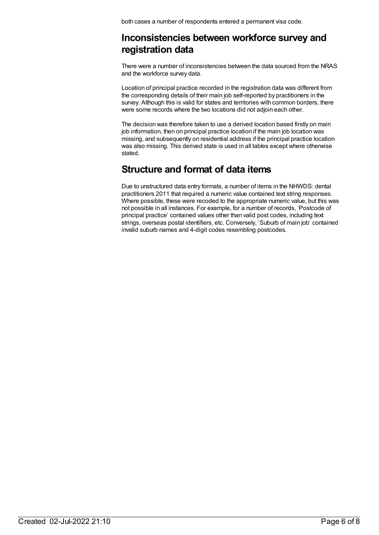both cases a number of respondents entered a permanent visa code.

### **Inconsistencies between workforce survey and registration data**

There were a number of inconsistencies between the data sourced from the NRAS and the workforce survey data.

Location of principal practice recorded in the registration data was different from the corresponding details of their main job self-reported by practitioners in the survey. Although this is valid for states and territories with common borders, there were some records where the two locations did not adjoin each other.

The decision was therefore taken to use a derived location based firstly on main job information, then on principal practice location if the main job location was missing, and subsequently on residential address if the principal practice location was also missing. This derived state is used in all tables except where otherwise stated.

### **Structure and format of data items**

Due to unstructured data entry formats, a number of items in the NHWDS: dental practitioners 2011 that required a numeric value contained text string responses. Where possible, these were recoded to the appropriate numeric value, but this was not possible in all instances. For example, for a number of records, 'Postcode of principal practice' contained values other than valid post codes, including text strings, overseas postal identifiers, etc. Conversely, 'Suburb of main job' contained invalid suburb names and 4-digit codes resembling postcodes.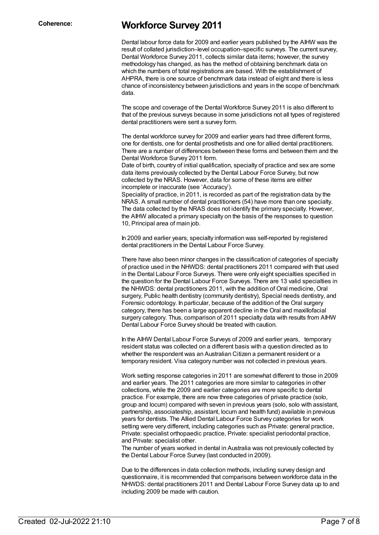### **Coherence: Workforce Survey 2011**

Dental labour force data for 2009 and earlier years published by the AIHW was the result of collated jurisdiction–level occupation–specific surveys. The current survey, Dental Workforce Survey 2011, collects similar data items; however, the survey methodology has changed, as has the method of obtaining benchmark data on which the numbers of total registrations are based. With the establishment of AHPRA, there is one source of benchmark data instead of eight and there is less chance of inconsistency between jurisdictions and years in the scope of benchmark data.

The scope and coverage of the Dental Workforce Survey 2011 is also different to that of the previous surveys because in some jurisdictions not all types of registered dental practitioners were sent a survey form.

The dental workforce survey for 2009 and earlier years had three different forms, one for dentists, one for dental prosthetists and one for allied dental practitioners. There are a number of differences between these forms and between them and the Dental Workforce Survey 2011 form.

Date of birth, country of initial qualification, specialty of practice and sex are some data items previously collected by the Dental Labour Force Survey, but now collected by the NRAS. However, data for some of these items are either incomplete or inaccurate (see 'Accuracy').

Speciality of practice, in 2011, is recorded as part of the registration data by the NRAS. A small number of dental practitioners (54) have more than one specialty. The data collected by the NRAS does not identify the primary specialty. However, the AIHW allocated a primary specialty on the basis of the responses to question 10, Principal area of main job.

In 2009 and earlier years, specialty information was self-reported by registered dental practitioners in the Dental Labour Force Survey.

There have also been minor changes in the classification of categories of specialty of practice used in the NHWDS: dental practitioners 2011 compared with that used in the Dental Labour Force Surveys. There were only eight specialties specified in the question for the Dental Labour Force Surveys. There are 13 valid specialties in the NHWDS: dental practitioners 2011, with the addition of Oral medicine, Oral surgery, Public health dentistry (community dentistry), Special needs dentistry, and Forensic odontology. In particular, because of the addition of the Oral surgery category, there has been a large apparent decline in the Oral and maxillofacial surgery category. Thus, comparison of 2011 specialty data with results from AIHW Dental Labour Force Survey should be treated with caution.

In the AIHW Dental Labour Force Surveys of 2009 and earlier years, temporary resident status was collected on a different basis with a question directed as to whether the respondent was an Australian Citizen a permanent resident or a temporary resident. Visa category number was not collected in previous years.

Work setting response categories in 2011 are somewhat different to those in 2009 and earlier years. The 2011 categories are more similar to categories in other collections, while the 2009 and earlier categories are more specific to dental practice. For example, there are now three categories of private practice (solo, group and locum) compared with seven in previous years (solo, solo with assistant, partnership, associateship, assistant, locum and health fund) available in previous years for dentists. The Allied Dental Labour Force Survey categories for work setting were very different, including categories such as Private: general practice, Private: specialist orthopaedic practice, Private: specialist periodontal practice, and Private: specialist other.

The number of years worked in dental in Australia was not previously collected by the Dental Labour Force Survey (last conducted in 2009).

Due to the differences in data collection methods, including survey design and questionnaire, it is recommended that comparisons between workforce data in the NHWDS: dental practitioners 2011 and Dental Labour Force Survey data up to and including 2009 be made with caution.